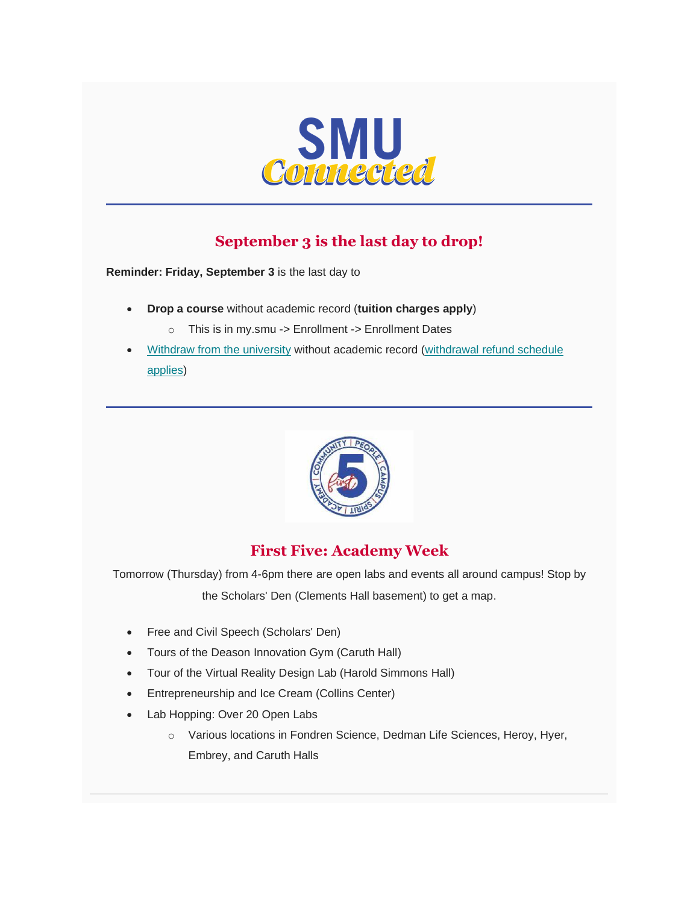

# **September 3 is the last day to drop!**

**Reminder: Friday, September 3** is the last day to

- **Drop a course** without academic record (**tuition charges apply**)
	- o This is in my.smu -> Enrollment -> Enrollment Dates
- [Withdraw from the university](https://www.smu.edu/EnrollmentServices/registrar/Enrollment/Fall/FallWithdrawalProcedures) without academic record (withdrawal refund schedule [applies\)](https://www.smu.edu/EnrollmentServices/bursar/CostofAttendance/WithdrawalCancellationInfo)



## **First Five: Academy Week**

Tomorrow (Thursday) from 4-6pm there are open labs and events all around campus! Stop by the Scholars' Den (Clements Hall basement) to get a map.

- Free and Civil Speech (Scholars' Den)
- Tours of the Deason Innovation Gym (Caruth Hall)
- Tour of the Virtual Reality Design Lab (Harold Simmons Hall)
- Entrepreneurship and Ice Cream (Collins Center)
- Lab Hopping: Over 20 Open Labs
	- o Various locations in Fondren Science, Dedman Life Sciences, Heroy, Hyer, Embrey, and Caruth Halls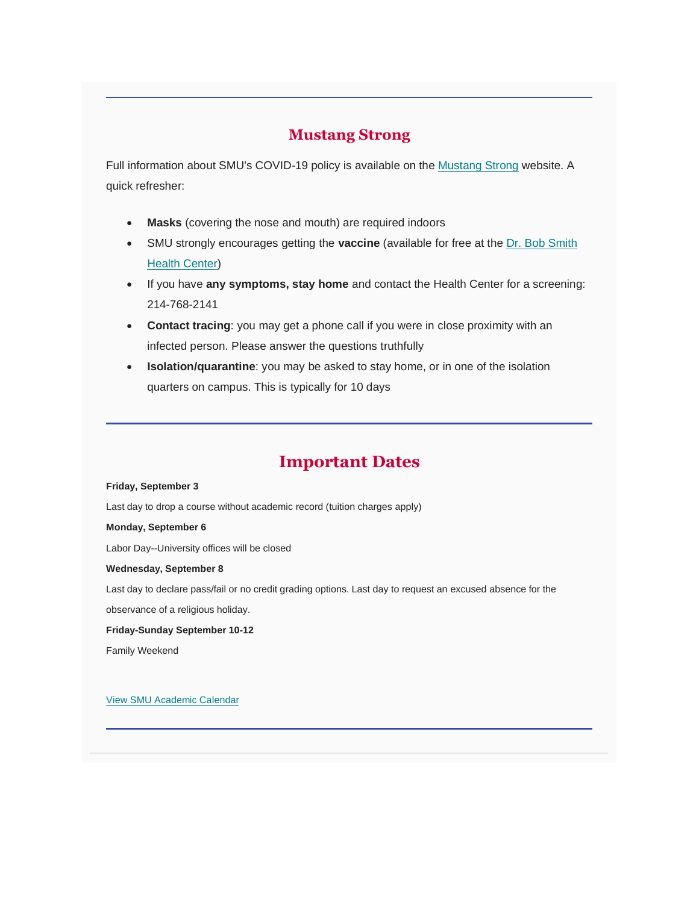### **Mustang Strong**

Full information about SMU's COVID-19 policy is available on the [Mustang Strong](https://www.smu.edu/Coronavirus/Healthy-Campus) website. A quick refresher:

- **Masks** (covering the nose and mouth) are required indoors
- SMU strongly encourages getting the **vaccine** (available for free at the [Dr. Bob Smith](https://www.smu.edu/studentaffairs/DrBobSmithHealthCenter)  **[Health Center\)](https://www.smu.edu/studentaffairs/DrBobSmithHealthCenter)**
- If you have **any symptoms, stay home** and contact the Health Center for a screening: 214-768-2141
- **Contact tracing**: you may get a phone call if you were in close proximity with an infected person. Please answer the questions truthfully
- **Isolation/quarantine**: you may be asked to stay home, or in one of the isolation quarters on campus. This is typically for 10 days

## **Important Dates**

#### **Friday, September 3**

Last day to drop a course without academic record (tuition charges apply)

#### **Monday, September 6**

Labor Day--University offices will be closed

#### **Wednesday, September 8**

Last day to declare pass/fail or no credit grading options. Last day to request an excused absence for the

observance of a religious holiday.

#### **Friday-Sunday September 10-12**

Family Weekend

[View SMU Academic Calendar](https://www.smu.edu/EnrollmentServices/registrar/AcademicCalendarsCourseCatalogs/AcademicCalendars/Calendar21-22)